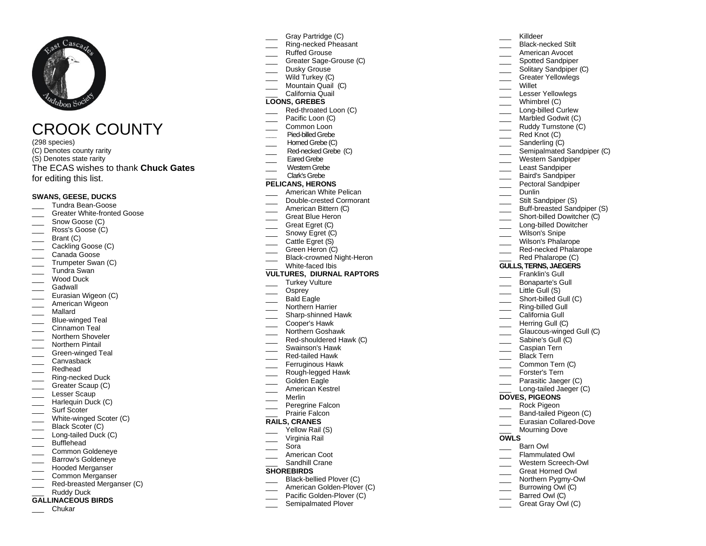

# CROOK COUNTY

(298 species) (C) Denotes county rarity (S) Denotes state rarity The ECAS wishes to thank **Chuck Gates** for editing this list.

#### **SWANS, GEESE, DUCKS**

- \_\_\_ Tundra Bean-Goose
- Greater White-fronted Goose
- Snow Goose (C)
- Ross's Goose (C)
- Brant (C)
- Cackling Goose (C)
- \_\_\_ Canada Goose
- Trumpeter Swan (C)
- \_\_\_ Tundra Swan Wood Duck
- 
- \_\_\_ Gadwall
- Eurasian Wigeon (C) American Wigeon
- \_\_\_ Mallard
- **EXECUTE:** Blue-winged Teal
- Cinnamon Teal
- Northern Shoveler
- Northern Pintail
- Green-winged Teal
- \_\_\_ Canvasback
- \_\_\_ Redhead
- Ring-necked Duck
- \_\_\_ Greater Scaup (C)
- Lesser Scaup
- \_\_\_ Harlequin Duck (C)
- Surf Scoter
- White-winged Scoter (C)
- Black Scoter (C) Long-tailed Duck (C)
- 
- \_\_\_ Bufflehead
- \_\_\_ Common Goldeneye
- Barrow's Goldeneye
- \_\_\_ Hooded Merganser
- \_\_\_ Common Merganser Red-breasted Merganser (C)
- Ruddy Duck
- **GALLINACEOUS BIRDS**
	- \_\_\_ Chukar
- Gray Partridge (C)
- \_\_\_ Ring-necked Pheasant
- \_\_\_ Ruffed Grouse
- Greater Sage-Grouse (C)
- Dusky Grouse
- Wild Turkey (C)
- Mountain Quail (C) California Quail

# **LOONS, GREBES**

- Red-throated Loon (C)
- Pacific Loon (C)
- Common Loon
- Pied-billed Grebe
- Homed Grebe (C)
- Red-necked Grebe (C)
- Eared Grebe
- Western Grebe
- \_\_\_ Clark's Grebe

# **PELICANS, HERONS**

- American White Pelican
- \_\_\_ Double-crested Cormorant
- American Bittern (C)
- Great Blue Heron
- Great Egret (C)
- Snowy Egret (C)
- Cattle Egret (S)
- Green Heron (C)
- \_\_\_ Black-crowned Night-Heron White-faced Ibis

#### **VULTURES, DIURNAL RAPTORS**

- Turkey Vulture
- Osprey
- Bald Eagle
- Northern Harrier
- \_\_\_ Sharp-shinned Hawk
- \_\_\_ Cooper's Hawk
- Northern Goshawk
- Red-shouldered Hawk (C)
- \_\_\_ Swainson's Hawk
- \_\_\_ Red-tailed Hawk
- Ferruginous Hawk Rough-legged Hawk
- Golden Eagle
- \_\_\_ American Kestrel
- \_\_\_ Merlin
- 
- Peregrine Falcon Prairie Falcon

### **RAILS, CRANES**

- Yellow Rail (S)
- Virginia Rail
- \_\_\_ Sora
- American Coot
- Sandhill Crane

#### **SHOREBIRDS**

- Black-bellied Plover (C)
- American Golden-Plover (C)
- Pacific Golden-Plover (C)
- Semipalmated Plover
- \_\_\_ Killdeer
- Black-necked Stilt

\_\_\_ Willet

 $\frac{1}{\sqrt{1-\frac{1}{2}}}$  Whimbrel (C)

Dunlin Stilt Sandpiper (S)

\_\_\_ Wilson's Snipe

**DOVES, PIGEONS** Rock Pigeon

\_\_\_ Barn Owl Flammulated Owl Western Screech-Owl \_\_\_ Great Horned Owl Northern Pygmy-Owl \_\_\_ Burrowing Owl (C) Barred Owl (C) Great Gray Owl (C)

**OWLS**

Wilson's Phalarope \_\_\_\_ Red-necked Phalarope Red Phalarope (C) **GULLS, TERNS, JAEGERS** Franklin's Gull Bonaparte's Gull Little Gull (S) Short-billed Gull (C) \_\_\_ Ring-billed Gull California Gull Herring Gull (C)

Glaucous-winged Gull (C) Sabine's Gull (C) \_\_\_ Caspian Tern Black Tern Common Tern (C) Forster's Tern \_\_\_ Parasitic Jaeger (C) Long-tailed Jaeger (C)

Band-tailed Pigeon (C) \_\_\_ Eurasian Collared-Dove Mourning Dove

- \_\_\_ American Avocet
- Spotted Sandpiper
- Solitary Sandpiper (C)

\_\_\_ Greater Yellowlegs

Lesser Yellowlegs

Long-billed Curlew Marbled Godwit (C) Ruddy Turnstone (C)  $Red$  Knot  $(C)$ Sanderling (C)

Semipalmated Sandpiper (C) \_\_\_ Western Sandpiper \_\_\_ Least Sandpiper Baird's Sandpiper Pectoral Sandpiper

> Buff-breasted Sandpiper (S) Short-billed Dowitcher (C) Long-billed Dowitcher